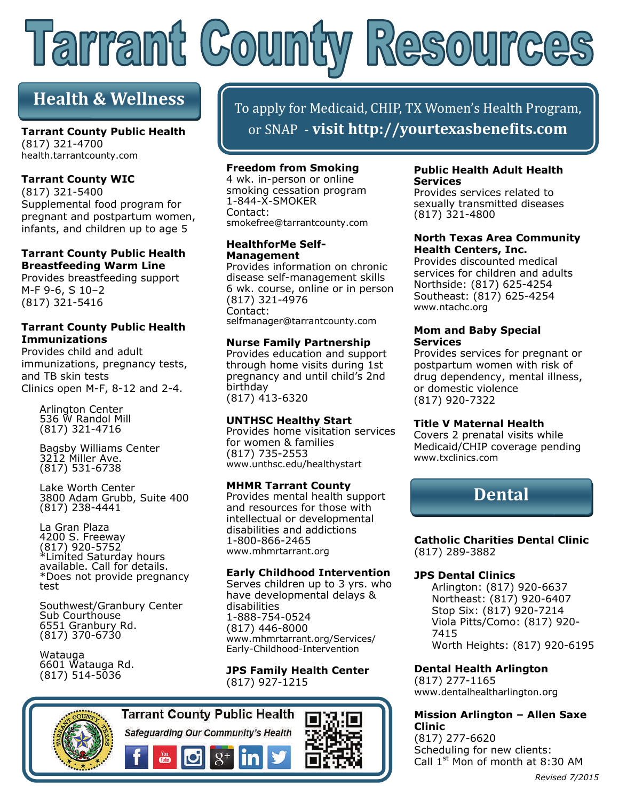# Tarrant Coun  $(250)$

## **Health & Wellness**

**Tarrant County Public Health**  (817) 321-4700 health.tarrantcounty.com

#### **Tarrant County WIC**

(817) 321-5400 Supplemental food program for pregnant and postpartum women, infants, and children up to age 5

#### **Tarrant County Public Health Breastfeeding Warm Line**

Provides breastfeeding support M-F 9-6, S 10–2 (817) 321-5416

#### **Tarrant County Public Health Immunizations**

Provides child and adult immunizations, pregnancy tests, and TB skin tests Clinics open M-F, 8-12 and 2-4.

> Arlington Center 536 W Randol Mill (817) 321-4716

Bagsby Williams Center 3212 Miller Ave. (817) 531-6738

Lake Worth Center 3800 Adam Grubb, Suite 400 (817) 238-4441

La Gran Plaza 4200 S. Freeway (817) 920-5752 \*Limited Saturday hours available. Call for details. \*Does not provide pregnancy test

Southwest/Granbury Center Sub Courthouse 6551 Granbury Rd. (817) 370-6730

Watauga 6601 Watauga Rd. (817) 514-5036

To apply for Medicaid, CHIP, TX Women's Health Program, or SNAP ‐ **visit http://yourtexasbeneϐits.com**

#### **Freedom from Smoking**

4 wk. in-person or online smoking cessation program 1-844-X-SMOKER Contact: smokefree@tarrantcounty.com

#### **HealthforMe Self-Management**

Provides information on chronic disease self-management skills 6 wk. course, online or in person (817) 321-4976 Contact: selfmanager@tarrantcounty.com

#### **Nurse Family Partnership**

Provides education and support through home visits during 1st pregnancy and until child's 2nd birthday (817) 413-6320

#### **UNTHSC Healthy Start**

Provides home visitation services for women & families (817) 735-2553 www.unthsc.edu/healthystart

#### **MHMR Tarrant County**

Provides mental health support and resources for those with intellectual or developmental disabilities and addictions 1-800-866-2465 www.mhmrtarrant.org

#### **Early Childhood Intervention**

Serves children up to 3 yrs. who have developmental delays & disabilities 1-888-754-0524 (817) 446-8000 www.mhmrtarrant.org/Services/ Early-Childhood-Intervention

#### **JPS Family Health Center**  (817) 927-1215



Safeguarding Our Community's Health



#### **Public Health Adult Health Services**

Provides services related to sexually transmitted diseases (817) 321-4800

#### **North Texas Area Community Health Centers, Inc.**

Provides discounted medical services for children and adults Northside: (817) 625-4254 Southeast: (817) 625-4254 www.ntachc.org

#### **Mom and Baby Special Services**

Provides services for pregnant or postpartum women with risk of drug dependency, mental illness, or domestic violence (817) 920-7322

#### **Title V Maternal Health**

Covers 2 prenatal visits while Medicaid/CHIP coverage pending www.txclinics.com



**Catholic Charities Dental Clinic**  (817) 289-3882

#### **JPS Dental Clinics**

Arlington: (817) 920-6637 Northeast: (817) 920-6407 Stop Six: (817) 920-7214 Viola Pitts/Como: (817) 920- 7415 Worth Heights: (817) 920-6195

**Dental Health Arlington**  (817) 277-1165

www.dentalhealtharlington.org

#### **Mission Arlington – Allen Saxe Clinic**

(817) 277-6620 Scheduling for new clients: Call 1<sup>st</sup> Mon of month at 8:30 AM